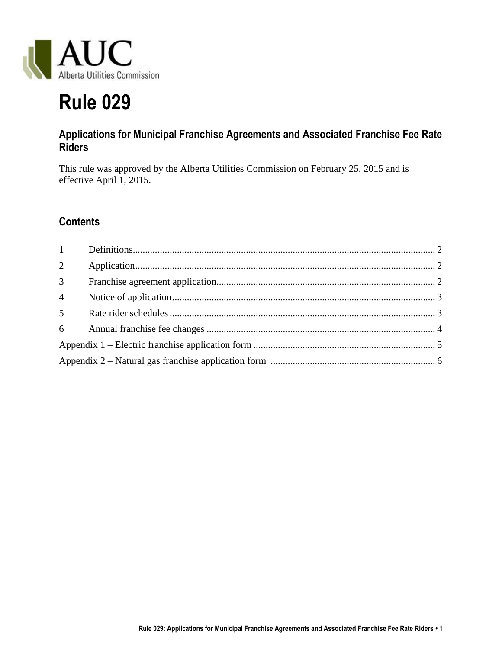

# **Rule 029**

## **Applications for Municipal Franchise Agreements and Associated Franchise Fee Rate Riders**

This rule was approved by the Alberta Utilities Commission on February 25, 2015 and is effective April 1, 2015.

## **Contents**

| 3 <sup>1</sup> |  |
|----------------|--|
| $\overline{4}$ |  |
| 5 <sup>5</sup> |  |
|                |  |
|                |  |
|                |  |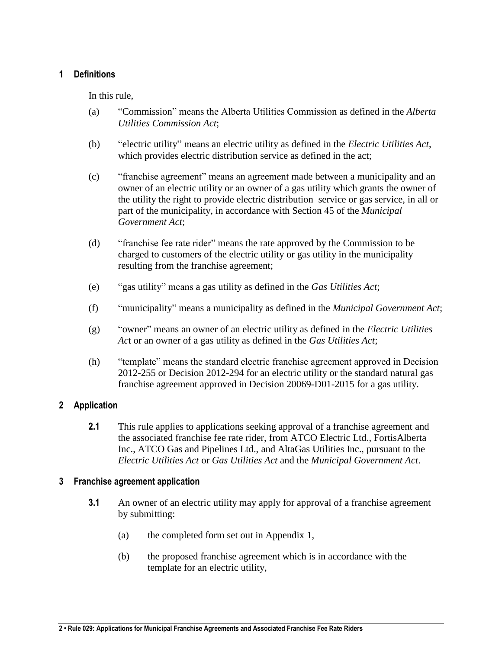#### <span id="page-1-0"></span>**1 Definitions**

In this rule,

- (a) "Commission" means the Alberta Utilities Commission as defined in the *Alberta Utilities Commission Act*;
- (b) "electric utility" means an electric utility as defined in the *Electric Utilities Act*, which provides electric distribution service as defined in the act;
- (c) "franchise agreement" means an agreement made between a municipality and an owner of an electric utility or an owner of a gas utility which grants the owner of the utility the right to provide electric distribution service or gas service, in all or part of the municipality, in accordance with Section 45 of the *Municipal Government Act*;
- (d) "franchise fee rate rider" means the rate approved by the Commission to be charged to customers of the electric utility or gas utility in the municipality resulting from the franchise agreement;
- (e) "gas utility" means a gas utility as defined in the *Gas Utilities Act*;
- (f) "municipality" means a municipality as defined in the *Municipal Government Act*;
- (g) "owner" means an owner of an electric utility as defined in the *Electric Utilities Ac*t or an owner of a gas utility as defined in the *Gas Utilities Act*;
- (h) "template" means the standard electric franchise agreement approved in Decision 2012-255 or Decision 2012-294 for an electric utility or the standard natural gas franchise agreement approved in Decision 20069-D01-2015 for a gas utility.

#### <span id="page-1-1"></span>**2 Application**

**2.1** This rule applies to applications seeking approval of a franchise agreement and the associated franchise fee rate rider, from ATCO Electric Ltd., FortisAlberta Inc., ATCO Gas and Pipelines Ltd., and AltaGas Utilities Inc., pursuant to the *Electric Utilities Act* or *Gas Utilities Act* and the *Municipal Government Act*.

#### <span id="page-1-2"></span>**3 Franchise agreement application**

- **3.1** An owner of an electric utility may apply for approval of a franchise agreement by submitting:
	- (a) the completed form set out in Appendix 1,
	- (b) the proposed franchise agreement which is in accordance with the template for an electric utility,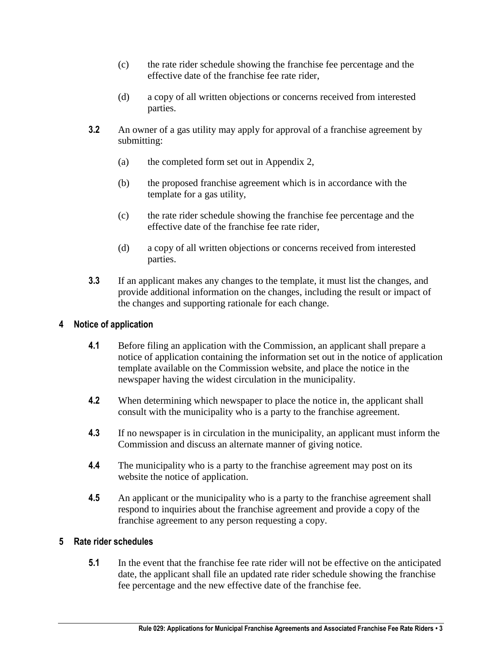- (c) the rate rider schedule showing the franchise fee percentage and the effective date of the franchise fee rate rider,
- (d) a copy of all written objections or concerns received from interested parties.
- **3.2** An owner of a gas utility may apply for approval of a franchise agreement by submitting:
	- (a) the completed form set out in Appendix 2,
	- (b) the proposed franchise agreement which is in accordance with the template for a gas utility,
	- (c) the rate rider schedule showing the franchise fee percentage and the effective date of the franchise fee rate rider,
	- (d) a copy of all written objections or concerns received from interested parties.
- **3.3** If an applicant makes any changes to the template, it must list the changes, and provide additional information on the changes, including the result or impact of the changes and supporting rationale for each change.

#### <span id="page-2-0"></span>**4 Notice of application**

- **4.1** Before filing an application with the Commission, an applicant shall prepare a notice of application containing the information set out in the notice of application template available on the Commission website, and place the notice in the newspaper having the widest circulation in the municipality.
- **4.2** When determining which newspaper to place the notice in, the applicant shall consult with the municipality who is a party to the franchise agreement.
- **4.3** If no newspaper is in circulation in the municipality, an applicant must inform the Commission and discuss an alternate manner of giving notice.
- **4.4** The municipality who is a party to the franchise agreement may post on its website the notice of application.
- **4.5** An applicant or the municipality who is a party to the franchise agreement shall respond to inquiries about the franchise agreement and provide a copy of the franchise agreement to any person requesting a copy.

#### <span id="page-2-1"></span>**5 Rate rider schedules**

**5.1** In the event that the franchise fee rate rider will not be effective on the anticipated date, the applicant shall file an updated rate rider schedule showing the franchise fee percentage and the new effective date of the franchise fee.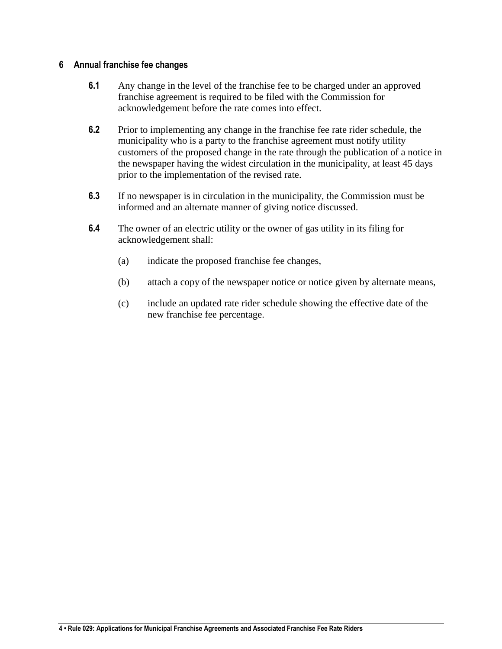#### <span id="page-3-0"></span>**6 Annual franchise fee changes**

- **6.1** Any change in the level of the franchise fee to be charged under an approved franchise agreement is required to be filed with the Commission for acknowledgement before the rate comes into effect.
- **6.2** Prior to implementing any change in the franchise fee rate rider schedule, the municipality who is a party to the franchise agreement must notify utility customers of the proposed change in the rate through the publication of a notice in the newspaper having the widest circulation in the municipality, at least 45 days prior to the implementation of the revised rate.
- **6.3** If no newspaper is in circulation in the municipality, the Commission must be informed and an alternate manner of giving notice discussed.
- **6.4** The owner of an electric utility or the owner of gas utility in its filing for acknowledgement shall:
	- (a) indicate the proposed franchise fee changes,
	- (b) attach a copy of the newspaper notice or notice given by alternate means,
	- (c) include an updated rate rider schedule showing the effective date of the new franchise fee percentage.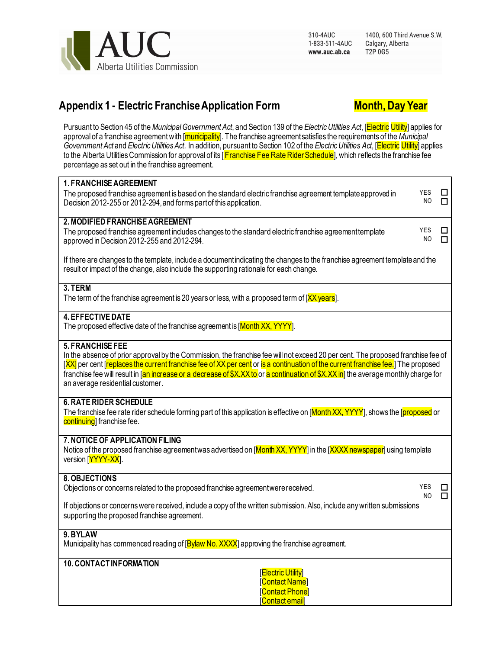

1400, 600 Third Avenue S.W. Calgary, Alberta T2P 0G5

# **Appendix 1 - Electric Franchise Application Form Month, Day Year**



Pursuant to Section 45 of the *Municipal Government Act*, and Section 139 of the *Electric Utilities Act*, [Electric Utility] applies for approval of a franchise agreement with [municipality]. The franchise agreement satisfies the requirements of the *Municipal Government Act* and *Electric Utilities Act.* In addition, pursuant to Section 102 of the *Electric Utilities Act*, [Electric Utility] applies to the Alberta Utilities Commission for approval of its [Franchise Fee Rate Rider Schedule], which reflects the franchise fee percentage as set out in the franchise agreement.

| <b>1. FRANCHISE AGREEMENT</b><br>The proposed franchise agreement is based on the standard electric franchise agreement template approved in<br>Decision 2012-255 or 2012-294, and forms part of this application.                                                                                                                                                                                                                                                          | <b>YES</b><br>NO | ш<br>п       |  |  |
|-----------------------------------------------------------------------------------------------------------------------------------------------------------------------------------------------------------------------------------------------------------------------------------------------------------------------------------------------------------------------------------------------------------------------------------------------------------------------------|------------------|--------------|--|--|
| 2. MODIFIED FRANCHISE AGREEMENT<br>The proposed franchise agreement includes changes to the standard electric franchise agreement template<br>approved in Decision 2012-255 and 2012-294.                                                                                                                                                                                                                                                                                   | YES<br>NO        | LI<br>$\Box$ |  |  |
| If there are changes to the template, include a document indicating the changes to the franchise agreement template and the<br>result or impact of the change, also include the supporting rationale for each change.                                                                                                                                                                                                                                                       |                  |              |  |  |
| 3. TERM<br>The term of the franchise agreement is 20 years or less, with a proposed term of [XX years].                                                                                                                                                                                                                                                                                                                                                                     |                  |              |  |  |
| <b>4. EFFECTIVE DATE</b><br>The proposed effective date of the franchise agreement is [Month XX, YYYY].                                                                                                                                                                                                                                                                                                                                                                     |                  |              |  |  |
| <b>5. FRANCHISE FEE</b><br>In the absence of prior approval by the Commission, the franchise fee will not exceed 20 per cent. The proposed franchise fee of<br>[XX] per cent [replaces the current franchise fee of XX per cent or is a continuation of the current franchise fee.] The proposed<br>franchise fee will result in [an increase or a decrease of \$X.XX to or a continuation of \$X.XX in] the average monthly charge for<br>an average residential customer. |                  |              |  |  |
| <b>6. RATE RIDER SCHEDULE</b><br>The franchise fee rate rider schedule forming part of this application is effective on [ <mark>Month XX, YYYY</mark> ], shows the [proposed or<br>continuing] franchise fee.                                                                                                                                                                                                                                                               |                  |              |  |  |
| 7. NOTICE OF APPLICATION FILING<br>Notice of the proposed franchise agreementwas advertised on [Month XX, YYYY] in the [XXXX newspaper] using template<br>version [YYYY-XX].                                                                                                                                                                                                                                                                                                |                  |              |  |  |
| 8. OBJECTIONS<br>Objections or concerns related to the proposed franchise agreement were received.                                                                                                                                                                                                                                                                                                                                                                          | YES<br>NO.       | ப<br>$\Box$  |  |  |
| If objections or concerns were received, include a copy of the written submission. Also, include any written submissions<br>supporting the proposed franchise agreement.                                                                                                                                                                                                                                                                                                    |                  |              |  |  |
| 9. BYLAW<br>Municipality has commenced reading of [Bylaw No. XXXX] approving the franchise agreement.                                                                                                                                                                                                                                                                                                                                                                       |                  |              |  |  |
| <b>10. CONTACTINFORMATION</b><br><b>Electric Utility</b><br>[Contact Name]<br>[Contact Phone]<br>[Contact email]                                                                                                                                                                                                                                                                                                                                                            |                  |              |  |  |